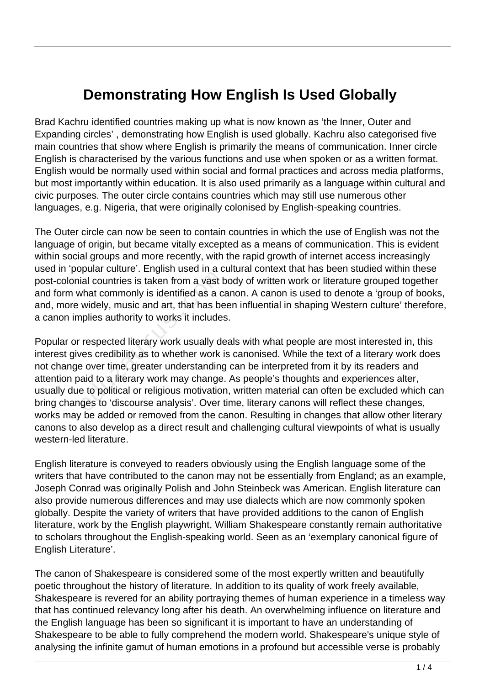## **Demonstrating How English Is Used Globally**

Brad Kachru identified countries making up what is now known as 'the Inner, Outer and Expanding circles' , demonstrating how English is used globally. Kachru also categorised five main countries that show where English is primarily the means of communication. Inner circle English is characterised by the various functions and use when spoken or as a written format. English would be normally used within social and formal practices and across media platforms, but most importantly within education. It is also used primarily as a language within cultural and civic purposes. The outer circle contains countries which may still use numerous other languages, e.g. Nigeria, that were originally colonised by English-speaking countries.

The Outer circle can now be seen to contain countries in which the use of English was not the language of origin, but became vitally excepted as a means of communication. This is evident within social groups and more recently, with the rapid growth of internet access increasingly used in 'popular culture'. English used in a cultural context that has been studied within these post-colonial countries is taken from a vast body of written work or literature grouped together and form what commonly is identified as a canon. A canon is used to denote a 'group of books, and, more widely, music and art, that has been influential in shaping Western culture' therefore, a canon implies authority to works it includes.

Popular or respected literary work usually deals with what people are most interested in, this interest gives credibility as to whether work is canonised. While the text of a literary work does not change over time, greater understanding can be interpreted from it by its readers and attention paid to a literary work may change. As people's thoughts and experiences alter, usually due to political or religious motivation, written material can often be excluded which can bring changes to 'discourse analysis'. Over time, literary canons will reflect these changes, works may be added or removed from the canon. Resulting in changes that allow other literary canons to also develop as a direct result and challenging cultural viewpoints of what is usually western-led literature. ial countries is taken from a vast k<br>vhat commonly is identified as a c.<br>widely, music and art, that has be<br>pplies authority to works it includes<br>respected literary work usually de<br>ves credibility as to whether work i<br>e ov

English literature is conveyed to readers obviously using the English language some of the writers that have contributed to the canon may not be essentially from England; as an example, Joseph Conrad was originally Polish and John Steinbeck was American. English literature can also provide numerous differences and may use dialects which are now commonly spoken globally. Despite the variety of writers that have provided additions to the canon of English literature, work by the English playwright, William Shakespeare constantly remain authoritative to scholars throughout the English-speaking world. Seen as an 'exemplary canonical figure of English Literature'.

The canon of Shakespeare is considered some of the most expertly written and beautifully poetic throughout the history of literature. In addition to its quality of work freely available, Shakespeare is revered for an ability portraying themes of human experience in a timeless way that has continued relevancy long after his death. An overwhelming influence on literature and the English language has been so significant it is important to have an understanding of Shakespeare to be able to fully comprehend the modern world. Shakespeare's unique style of analysing the infinite gamut of human emotions in a profound but accessible verse is probably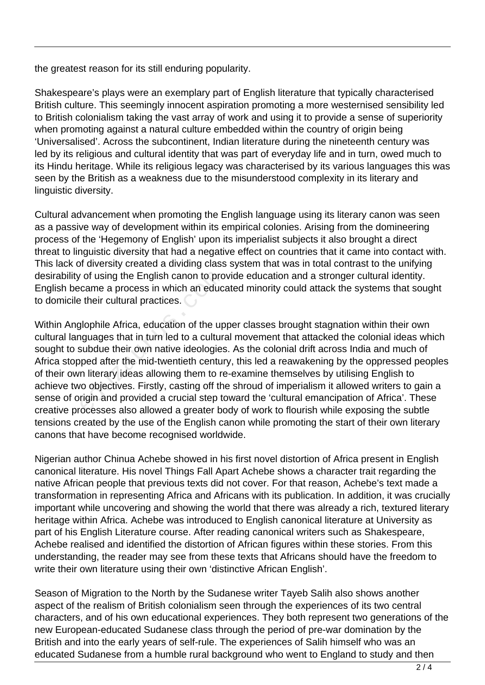the greatest reason for its still enduring popularity.

Shakespeare's plays were an exemplary part of English literature that typically characterised British culture. This seemingly innocent aspiration promoting a more westernised sensibility led to British colonialism taking the vast array of work and using it to provide a sense of superiority when promoting against a natural culture embedded within the country of origin being 'Universalised'. Across the subcontinent, Indian literature during the nineteenth century was led by its religious and cultural identity that was part of everyday life and in turn, owed much to its Hindu heritage. While its religious legacy was characterised by its various languages this was seen by the British as a weakness due to the misunderstood complexity in its literary and linguistic diversity.

Cultural advancement when promoting the English language using its literary canon was seen as a passive way of development within its empirical colonies. Arising from the domineering process of the 'Hegemony of English' upon its imperialist subjects it also brought a direct threat to linguistic diversity that had a negative effect on countries that it came into contact with. This lack of diversity created a dividing class system that was in total contrast to the unifying desirability of using the English canon to provide education and a stronger cultural identity. English became a process in which an educated minority could attack the systems that sought to domicile their cultural practices.

Within Anglophile Africa, education of the upper classes brought stagnation within their own cultural languages that in turn led to a cultural movement that attacked the colonial ideas which sought to subdue their own native ideologies. As the colonial drift across India and much of Africa stopped after the mid-twentieth century, this led a reawakening by the oppressed peoples of their own literary ideas allowing them to re-examine themselves by utilising English to achieve two objectives. Firstly, casting off the shroud of imperialism it allowed writers to gain a sense of origin and provided a crucial step toward the 'cultural emancipation of Africa'. These creative processes also allowed a greater body of work to flourish while exposing the subtle tensions created by the use of the English canon while promoting the start of their own literary canons that have become recognised worldwide. of using the English canon to pro<br>
came a process in which an educ<br>
etheir cultural practices.<br>
Jlophile Africa, education of the up<br>
guages that in turn led to a culturis<br>
subdue their own native ideologies<br>
ped after the

Nigerian author Chinua Achebe showed in his first novel distortion of Africa present in English canonical literature. His novel Things Fall Apart Achebe shows a character trait regarding the native African people that previous texts did not cover. For that reason, Achebe's text made a transformation in representing Africa and Africans with its publication. In addition, it was crucially important while uncovering and showing the world that there was already a rich, textured literary heritage within Africa. Achebe was introduced to English canonical literature at University as part of his English Literature course. After reading canonical writers such as Shakespeare, Achebe realised and identified the distortion of African figures within these stories. From this understanding, the reader may see from these texts that Africans should have the freedom to write their own literature using their own 'distinctive African English'.

Season of Migration to the North by the Sudanese writer Tayeb Salih also shows another aspect of the realism of British colonialism seen through the experiences of its two central characters, and of his own educational experiences. They both represent two generations of the new European-educated Sudanese class through the period of pre-war domination by the British and into the early years of self-rule. The experiences of Salih himself who was an educated Sudanese from a humble rural background who went to England to study and then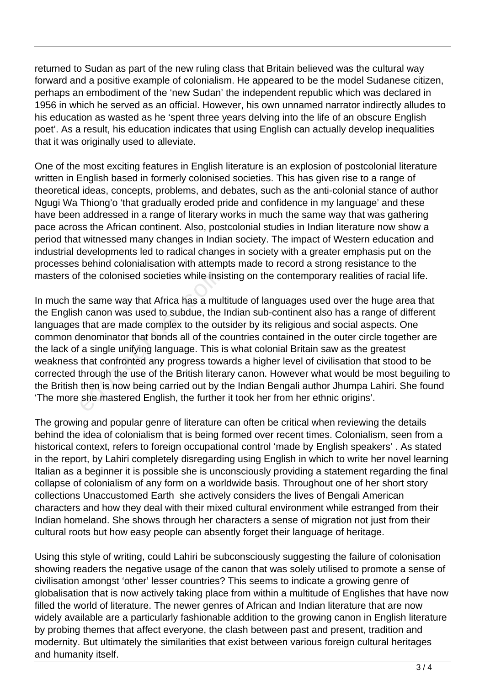returned to Sudan as part of the new ruling class that Britain believed was the cultural way forward and a positive example of colonialism. He appeared to be the model Sudanese citizen, perhaps an embodiment of the 'new Sudan' the independent republic which was declared in 1956 in which he served as an official. However, his own unnamed narrator indirectly alludes to his education as wasted as he 'spent three years delving into the life of an obscure English poet'. As a result, his education indicates that using English can actually develop inequalities that it was originally used to alleviate.

One of the most exciting features in English literature is an explosion of postcolonial literature written in English based in formerly colonised societies. This has given rise to a range of theoretical ideas, concepts, problems, and debates, such as the anti-colonial stance of author Ngugi Wa Thiong'o 'that gradually eroded pride and confidence in my language' and these have been addressed in a range of literary works in much the same way that was gathering pace across the African continent. Also, postcolonial studies in Indian literature now show a period that witnessed many changes in Indian society. The impact of Western education and industrial developments led to radical changes in society with a greater emphasis put on the processes behind colonialisation with attempts made to record a strong resistance to the masters of the colonised societies while insisting on the contemporary realities of racial life.

In much the same way that Africa has a multitude of languages used over the huge area that the English canon was used to subdue, the Indian sub-continent also has a range of different languages that are made complex to the outsider by its religious and social aspects. One common denominator that bonds all of the countries contained in the outer circle together are the lack of a single unifying language. This is what colonial Britain saw as the greatest weakness that confronted any progress towards a higher level of civilisation that stood to be corrected through the use of the British literary canon. However what would be most beguiling to the British then is now being carried out by the Indian Bengali author Jhumpa Lahiri. She found 'The more she mastered English, the further it took her from her ethnic origins'. the colonised societies while insistend and the colonised societies while insistent and a multinum canon was used to subdue, the left that are made complex to the out enominator that bonds all of the c a single unifying la

The growing and popular genre of literature can often be critical when reviewing the details behind the idea of colonialism that is being formed over recent times. Colonialism, seen from a historical context, refers to foreign occupational control 'made by English speakers' . As stated in the report, by Lahiri completely disregarding using English in which to write her novel learning Italian as a beginner it is possible she is unconsciously providing a statement regarding the final collapse of colonialism of any form on a worldwide basis. Throughout one of her short story collections Unaccustomed Earth she actively considers the lives of Bengali American characters and how they deal with their mixed cultural environment while estranged from their Indian homeland. She shows through her characters a sense of migration not just from their cultural roots but how easy people can absently forget their language of heritage.

Using this style of writing, could Lahiri be subconsciously suggesting the failure of colonisation showing readers the negative usage of the canon that was solely utilised to promote a sense of civilisation amongst 'other' lesser countries? This seems to indicate a growing genre of globalisation that is now actively taking place from within a multitude of Englishes that have now filled the world of literature. The newer genres of African and Indian literature that are now widely available are a particularly fashionable addition to the growing canon in English literature by probing themes that affect everyone, the clash between past and present, tradition and modernity. But ultimately the similarities that exist between various foreign cultural heritages and humanity itself.